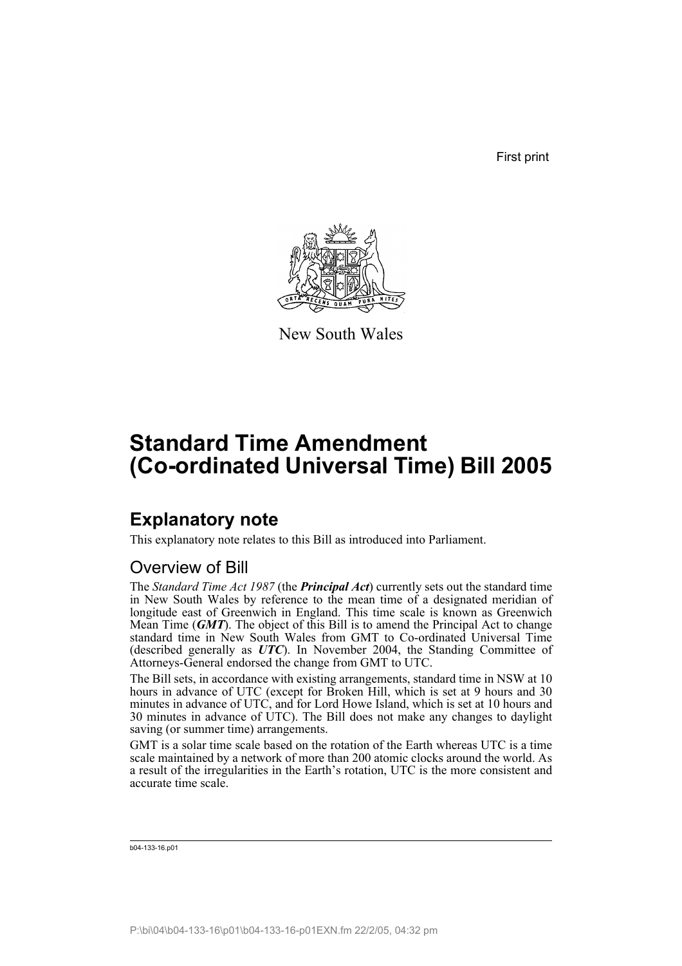First print



New South Wales

## **Standard Time Amendment (Co-ordinated Universal Time) Bill 2005**

## **Explanatory note**

This explanatory note relates to this Bill as introduced into Parliament.

#### Overview of Bill

The *Standard Time Act 1987* (the *Principal Act*) currently sets out the standard time in New South Wales by reference to the mean time of a designated meridian of longitude east of Greenwich in England. This time scale is known as Greenwich Mean Time (*GMT*). The object of this Bill is to amend the Principal Act to change standard time in New South Wales from GMT to Co-ordinated Universal Time (described generally as *UTC*). In November 2004, the Standing Committee of Attorneys-General endorsed the change from GMT to UTC.

The Bill sets, in accordance with existing arrangements, standard time in NSW at 10 hours in advance of UTC (except for Broken Hill, which is set at 9 hours and 30 minutes in advance of UTC, and for Lord Howe Island, which is set at 10 hours and 30 minutes in advance of UTC). The Bill does not make any changes to daylight saving (or summer time) arrangements.

GMT is a solar time scale based on the rotation of the Earth whereas UTC is a time scale maintained by a network of more than 200 atomic clocks around the world. As a result of the irregularities in the Earth's rotation, UTC is the more consistent and accurate time scale.

b04-133-16.p01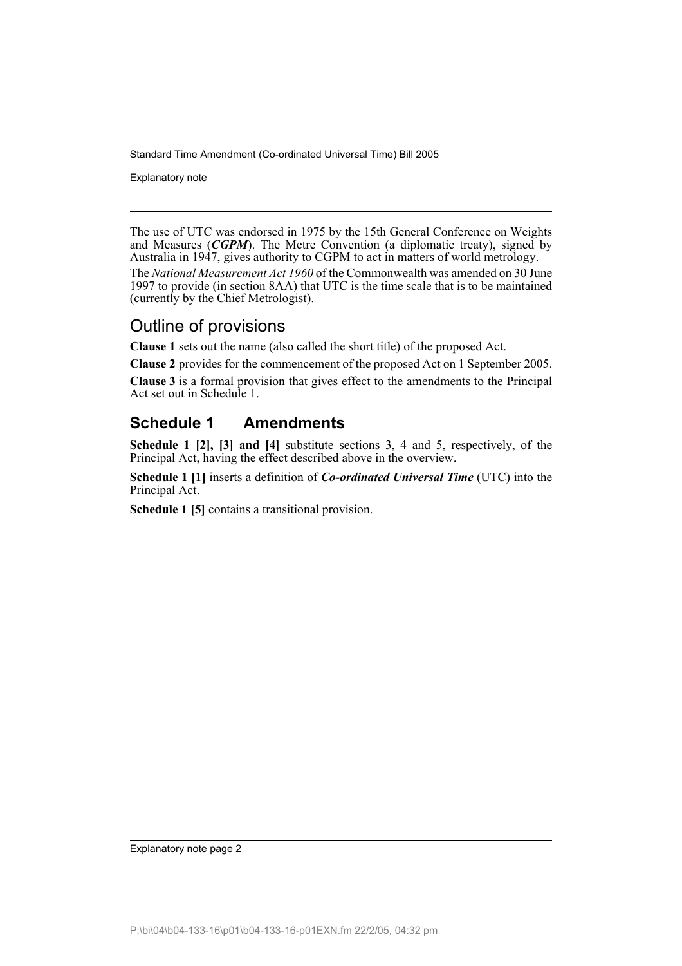Explanatory note

The use of UTC was endorsed in 1975 by the 15th General Conference on Weights and Measures (*CGPM*). The Metre Convention (a diplomatic treaty), signed by Australia in 1947, gives authority to CGPM to act in matters of world metrology. The *National Measurement Act 1960* of the Commonwealth was amended on 30 June 1997 to provide (in section 8AA) that UTC is the time scale that is to be maintained (currently by the Chief Metrologist).

### Outline of provisions

**Clause 1** sets out the name (also called the short title) of the proposed Act.

**Clause 2** provides for the commencement of the proposed Act on 1 September 2005.

**Clause 3** is a formal provision that gives effect to the amendments to the Principal Act set out in Schedule 1.

#### **Schedule 1 Amendments**

**Schedule 1 [2], [3] and [4]** substitute sections 3, 4 and 5, respectively, of the Principal Act, having the effect described above in the overview.

**Schedule 1 [1]** inserts a definition of *Co-ordinated Universal Time* (UTC) into the Principal Act.

**Schedule 1 [5]** contains a transitional provision.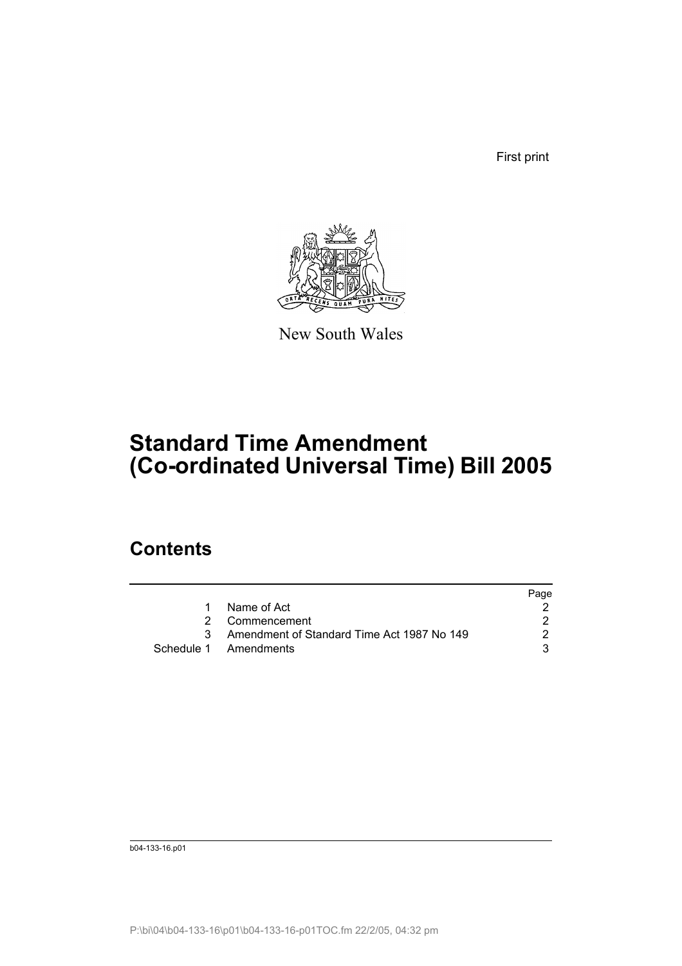First print



New South Wales

# **Standard Time Amendment (Co-ordinated Universal Time) Bill 2005**

### **Contents**

|                                              | Page |
|----------------------------------------------|------|
| Name of Act                                  |      |
| 2 Commencement                               |      |
| 3 Amendment of Standard Time Act 1987 No 149 |      |
| Schedule 1 Amendments                        |      |

b04-133-16.p01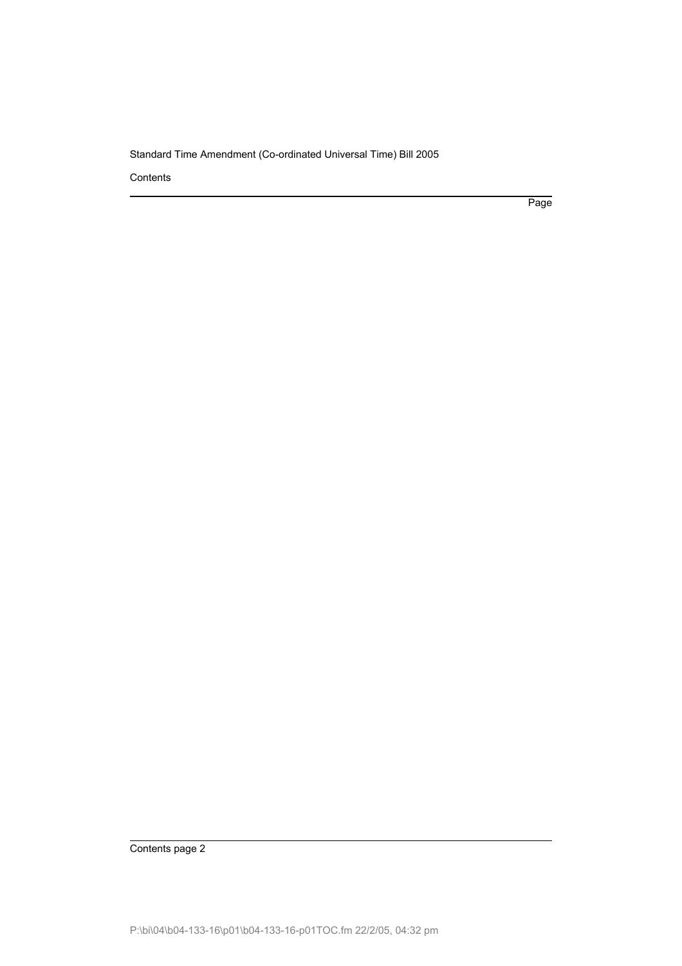**Contents** 

Page

Contents page 2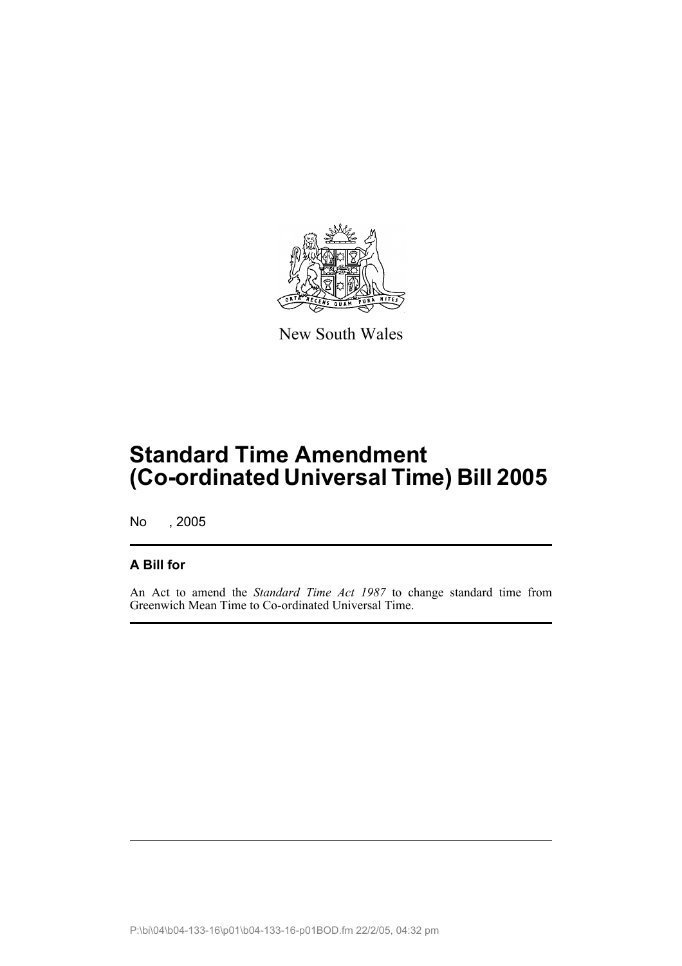

New South Wales

## **Standard Time Amendment (Co-ordinated Universal Time) Bill 2005**

No , 2005

#### **A Bill for**

An Act to amend the *Standard Time Act 1987* to change standard time from Greenwich Mean Time to Co-ordinated Universal Time.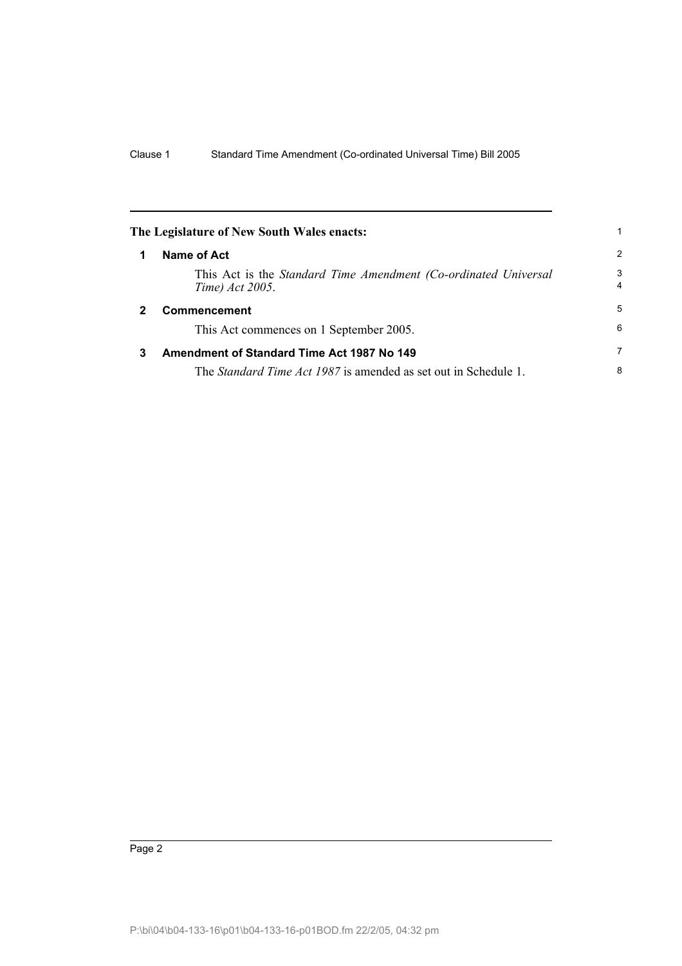<span id="page-5-2"></span><span id="page-5-1"></span><span id="page-5-0"></span>

|              | The Legislature of New South Wales enacts:                                         |                     |
|--------------|------------------------------------------------------------------------------------|---------------------|
| 1            | Name of Act                                                                        | $\overline{2}$      |
|              | This Act is the Standard Time Amendment (Co-ordinated Universal<br>Time) Act 2005. | 3<br>$\overline{4}$ |
| $\mathbf{2}$ | <b>Commencement</b>                                                                | 5                   |
|              | This Act commences on 1 September 2005.                                            | 6                   |
| 3            | Amendment of Standard Time Act 1987 No 149                                         | 7                   |
|              | The <i>Standard Time Act 1987</i> is amended as set out in Schedule 1.             | 8                   |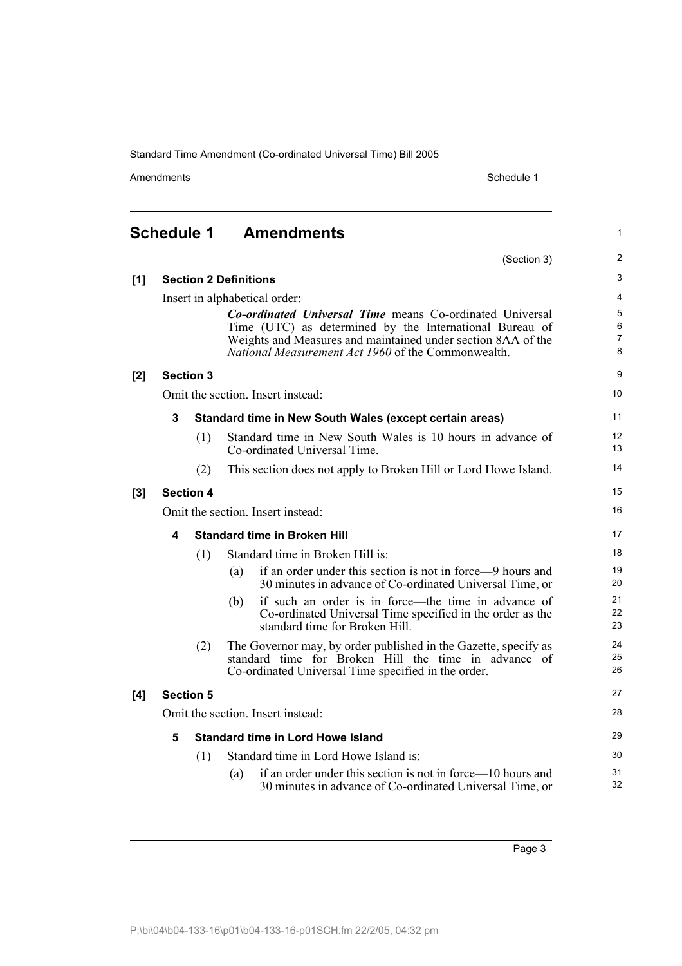Amendments Schedule 1

(Section 3)

1

2

### <span id="page-6-0"></span>**Schedule 1 Amendments**

| [1]   |                                   |                  | <b>Section 2 Definitions</b>                                                                                                                                                   | 3                   |
|-------|-----------------------------------|------------------|--------------------------------------------------------------------------------------------------------------------------------------------------------------------------------|---------------------|
|       |                                   |                  | Insert in alphabetical order:                                                                                                                                                  | 4                   |
|       |                                   |                  | <b>Co-ordinated Universal Time</b> means Co-ordinated Universal                                                                                                                | 5                   |
|       |                                   |                  | Time (UTC) as determined by the International Bureau of                                                                                                                        | $\,6\,$             |
|       |                                   |                  | Weights and Measures and maintained under section 8AA of the<br>National Measurement Act 1960 of the Commonwealth.                                                             | $\overline{7}$<br>8 |
| $[2]$ |                                   | <b>Section 3</b> |                                                                                                                                                                                | 9                   |
|       | Omit the section. Insert instead: |                  |                                                                                                                                                                                | 10                  |
|       | 3                                 |                  | Standard time in New South Wales (except certain areas)                                                                                                                        | 11                  |
|       |                                   | (1)              | Standard time in New South Wales is 10 hours in advance of<br>Co-ordinated Universal Time.                                                                                     | 12<br>13            |
|       |                                   | (2)              | This section does not apply to Broken Hill or Lord Howe Island.                                                                                                                | 14                  |
| $[3]$ |                                   | <b>Section 4</b> |                                                                                                                                                                                | 15                  |
|       |                                   |                  | Omit the section. Insert instead:                                                                                                                                              | 16                  |
|       | 4                                 |                  | <b>Standard time in Broken Hill</b>                                                                                                                                            | 17                  |
|       |                                   | (1)              | Standard time in Broken Hill is:                                                                                                                                               | 18                  |
|       |                                   |                  | if an order under this section is not in force—9 hours and<br>(a)<br>30 minutes in advance of Co-ordinated Universal Time, or                                                  | 19<br>20            |
|       |                                   |                  | if such an order is in force—the time in advance of<br>(b)<br>Co-ordinated Universal Time specified in the order as the<br>standard time for Broken Hill.                      | 21<br>22<br>23      |
|       |                                   | (2)              | The Governor may, by order published in the Gazette, specify as<br>standard time for Broken Hill the time in advance of<br>Co-ordinated Universal Time specified in the order. | 24<br>25<br>26      |
| [4]   |                                   | <b>Section 5</b> |                                                                                                                                                                                | 27                  |
|       |                                   |                  | Omit the section. Insert instead:                                                                                                                                              | 28                  |
|       | 5                                 |                  | <b>Standard time in Lord Howe Island</b>                                                                                                                                       | 29                  |
|       |                                   | (1)              | Standard time in Lord Howe Island is:                                                                                                                                          | 30                  |
|       |                                   |                  | if an order under this section is not in force—10 hours and<br>(a)<br>30 minutes in advance of Co-ordinated Universal Time, or                                                 | 31<br>32            |

Page 3